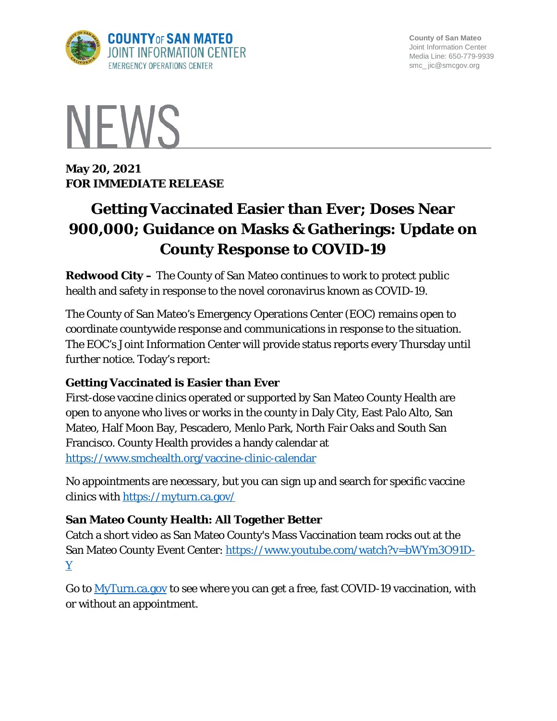

**County of San Mateo** Joint Information Center Media Line: 650-779-9939 smc\_ jic@smcgov.org



**May 20, 2021 FOR IMMEDIATE RELEASE** 

# **Getting Vaccinated Easier than Ever; Doses Near 900,000; Guidance on Masks & Gatherings: Update on County Response to COVID-19**

**Redwood City –** The County of San Mateo continues to work to protect public health and safety in response to the novel coronavirus known as COVID-19.

The County of San Mateo's Emergency Operations Center (EOC) remains open to coordinate countywide response and communications in response to the situation. The EOC's Joint Information Center will provide status reports every Thursday until further notice. Today's report:

#### **Getting Vaccinated is Easier than Ever**

First-dose vaccine clinics operated or supported by San Mateo County Health are open to anyone who lives or works in the county in Daly City, East Palo Alto, San Mateo, Half Moon Bay, Pescadero, Menlo Park, North Fair Oaks and South San Francisco. County Health provides a handy calendar at <https://www.smchealth.org/vaccine-clinic-calendar>

No appointments are necessary, but you can sign up and search for specific vaccine clinics with<https://myturn.ca.gov/>

#### **San Mateo County Health: All Together Better**

Catch a short video as San Mateo County's Mass Vaccination team rocks out at the San Mateo County Event Center: [https://www.youtube.com/watch?v=bWYm3O91D-](https://www.youtube.com/watch?v=bWYm3O91D-Y)[Y](https://www.youtube.com/watch?v=bWYm3O91D-Y)

Go to MyTurn.ca.gov to see where you can get a free, fast COVID-19 vaccination, with or without an appointment.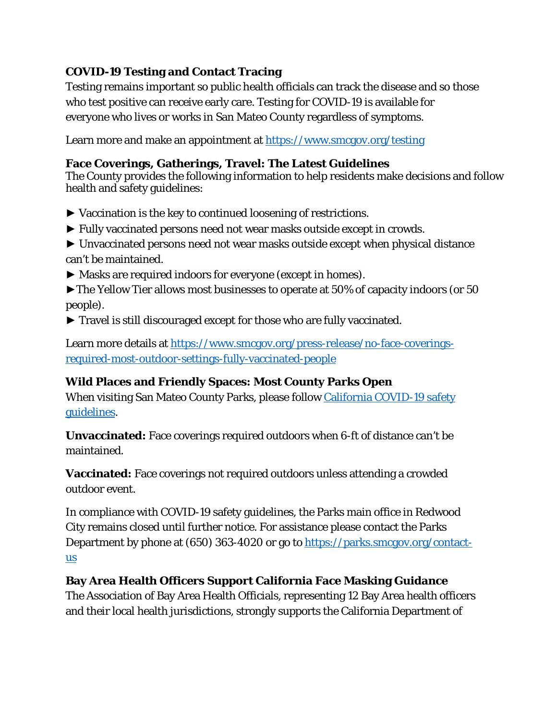## **COVID-19 Testing and Contact Tracing**

Testing remains important so public health officials can track the disease and so those who test positive can receive early care. Testing for COVID-19 is available for everyone who lives or works in San Mateo County regardless of symptoms.

Learn more and make an appointment at<https://www.smcgov.org/testing>

#### **Face Coverings, Gatherings, Travel: The Latest Guidelines**

The County provides the following information to help residents make decisions and follow health and safety guidelines:

- ► Vaccination is the key to continued loosening of restrictions.
- ► Fully vaccinated persons need not wear masks outside except in crowds.
- ► Unvaccinated persons need not wear masks outside except when physical distance can't be maintained.
- ► Masks are required indoors for everyone (except in homes).

►The Yellow Tier allows most businesses to operate at 50% of capacity indoors (or 50 people).

► Travel is still discouraged except for those who are fully vaccinated.

Learn more details at [https://www.smcgov.org/press-release/no-face-coverings](https://www.smcgov.org/press-release/no-face-coverings-required-most-outdoor-settings-fully-vaccinated-people)[required-most-outdoor-settings-fully-vaccinated-people](https://www.smcgov.org/press-release/no-face-coverings-required-most-outdoor-settings-fully-vaccinated-people)

#### **Wild Places and Friendly Spaces: Most County Parks Open**

When visiting San Mateo County Parks, please follow [California COVID-19 safety](https://www.cdph.ca.gov/Programs/CID/DCDC/Pages/COVID-19/guidance-for-face-coverings.aspx)  [guidelines.](https://www.cdph.ca.gov/Programs/CID/DCDC/Pages/COVID-19/guidance-for-face-coverings.aspx)

**Unvaccinated:** Face coverings required outdoors when 6-ft of distance can't be maintained.

**Vaccinated:** Face coverings not required outdoors unless attending a crowded outdoor event.

In compliance with COVID-19 safety guidelines, the Parks main office in Redwood City remains closed until further notice. For assistance please contact the Parks Department by phone at (650) 363-4020 or go to [https://parks.smcgov.org/contact](https://parks.smcgov.org/contact-us)[us](https://parks.smcgov.org/contact-us)

#### **Bay Area Health Officers Support California Face Masking Guidance**

The Association of Bay Area Health Officials, representing 12 Bay Area health officers and their local health jurisdictions, strongly supports the California Department of